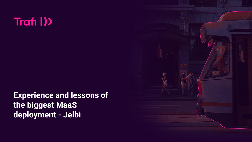# Trafi I<sup>></sup>

**Experience and lessons of the biggest MaaS deployment - Jelbi**

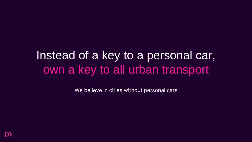# Instead of a key to a personal car, own a key to all urban transport

We believe in cities without personal cars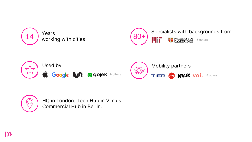



HQ in London. Tech Hub in Vilnius. Commercial Hub in Berlin.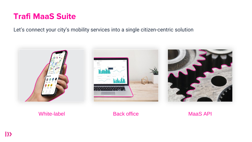# **Trafi MaaS Suite**

Let's connect your city's mobility services into a single citizen-centric solution



White-label Back office MaaS API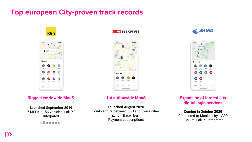## **Top european City-proven track records**



## **Biggest worldwide MaaS Expansion of largest city Biggest worldwide MaaS**

### **Launched September 2019**

7 MSPs + 15K vehicles + all PT integrated

4,5\*\*\*\*\*

**ED** SBB CFF FFS



## **1st nationwide MaaS**

### **Launched August 2020**

Joint venture between SBB and Swiss cities (Zurich, Basel, Bern) Payment subscriptions





# 5 **digital login services**

**Coming in October 2020** Connected to Munich city's SSO 8 MSPs + all PT integrated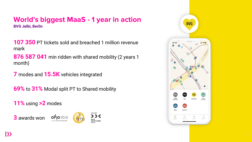## **World's biggest MaaS - 1 year in action BVG Jelbi, Berlin**

**107 350** PT tickets sold and breached 1 million revenue mark

**876 587 041** min ridden with shared mobility (2 years 1 month)

**7** modes and **15.5K** vehicles integrated

**69%** to **31%** Modal split PT to Shared mobility

**11%** using **>2** modes





AWARD **GESTALTUNG** 

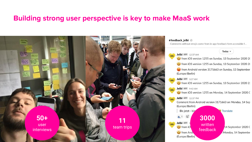## **Building strong user perspective is key to make MaaS work**



#### #feedback jelbi ☆

- Comments without emojis come from in-app feedback form accessible f...

#### Today  $\vee$



from iOS version 1255 on Sunday, 13 September 2020 20

from iOS version 1255 on Sunday, 13 September 2020 20

trom Android version 3171663 on Sunday, 13 September (Europe/Berlin)

#### Jelbi APP 3:37 AM

from iOS version 1255 on Sunday, 13 September 2020 23

Jelbi APP 9:42 AM

from iOS version 1255 on Monday, 14 September 2020 0

Jelbi APP 12:37 PM

from And

(Europe/Berlin)

Comment from Android version 3171663 on Monday, 14 Sep

(Europe/Berlin): Bis jetzt - bip 1 时 **Jelbi** APP written from iO

Translate

**3000**

feedback

14 September 2020 0

Monday, 14 Septembe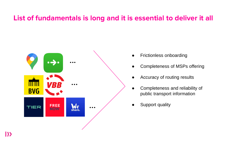## **List of fundamentals is long and it is essential to deliver it all**



- Frictionless onboarding
- Completeness of MSPs offering
- Accuracy of routing results
- Completeness and reliability of public transport information
- Support quality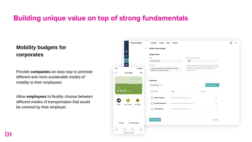## **Building unique value on top of strong fundamentals**

## **Mobility budgets for corporates**

Provide **companies** an easy way to promote different and more sustainable modes of mobility to their employees

Allow **employees** to flexibly choose between different modes of transportation that would be covered by their employer.